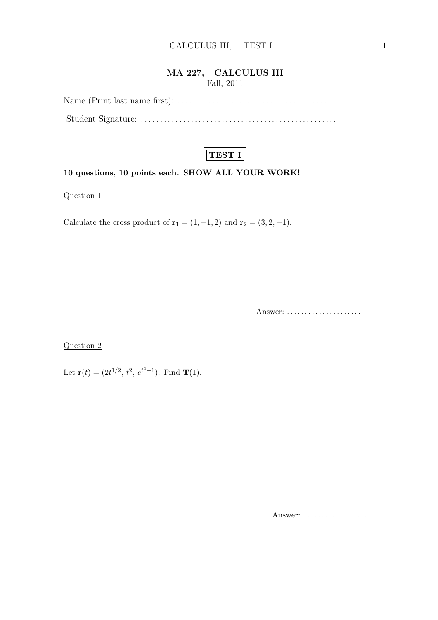#### MA 227, CALCULUS III Fall, 2011

Name (Print last name first): . . . . . . . . . . . . . . . . . . . . . . . . . . . . . . . . . . . . . . . . . . Student Signature: . . . . . . . . . . . . . . . . . . . . . . . . . . . . . . . . . . . . . . . . . . . . . . . . . . .



#### 10 questions, 10 points each. SHOW ALL YOUR WORK!

Question 1

Calculate the cross product of  $\mathbf{r}_1 = (1, -1, 2)$  and  $\mathbf{r}_2 = (3, 2, -1)$ .

Answer: . . . . . . . . . . . . . . . . . . . . .

Question 2

Let  $\mathbf{r}(t) = (2t^{1/2}, t^2, e^{t^4-1})$ . Find **T**(1).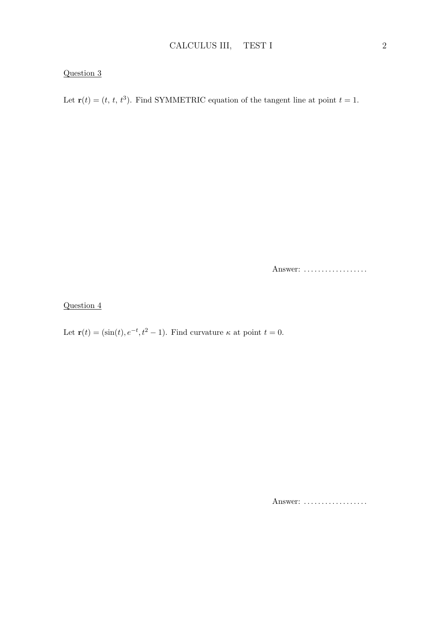Let  $\mathbf{r}(t) = (t, t, t^3)$ . Find SYMMETRIC equation of the tangent line at point  $t = 1$ .

Answer: ..................

Question 4

Let  $\mathbf{r}(t) = (\sin(t), e^{-t}, t^2 - 1)$ . Find curvature  $\kappa$  at point  $t = 0$ .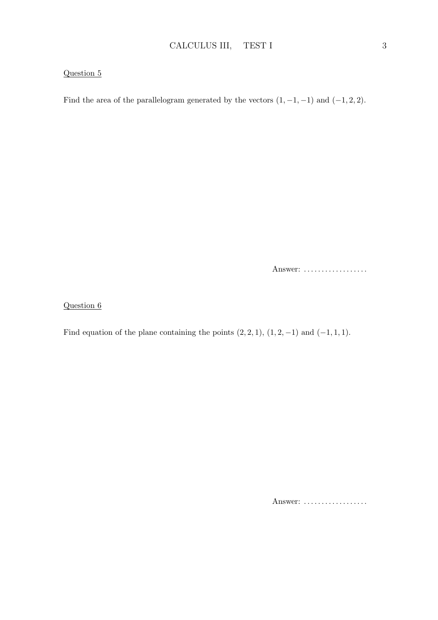Find the area of the parallelogram generated by the vectors  $(1, -1, -1)$  and  $(-1, 2, 2)$ .

Answer: ...................

Question 6

Find equation of the plane containing the points  $(2, 2, 1)$ ,  $(1, 2, -1)$  and  $(-1, 1, 1)$ .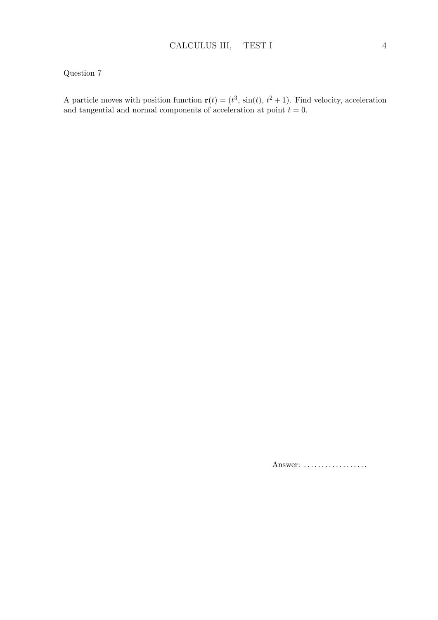A particle moves with position function  $\mathbf{r}(t) = (t^3, \sin(t), t^2 + 1)$ . Find velocity, acceleration and tangential and normal components of acceleration at point  $t = 0$ .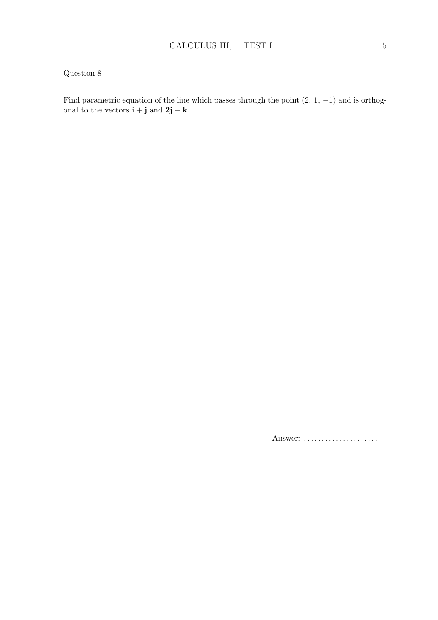Find parametric equation of the line which passes through the point  $(2, 1, -1)$  and is orthogonal to the vectors  $\mathbf{i} + \mathbf{j}$  and  $2\mathbf{j} - \mathbf{k}$ .